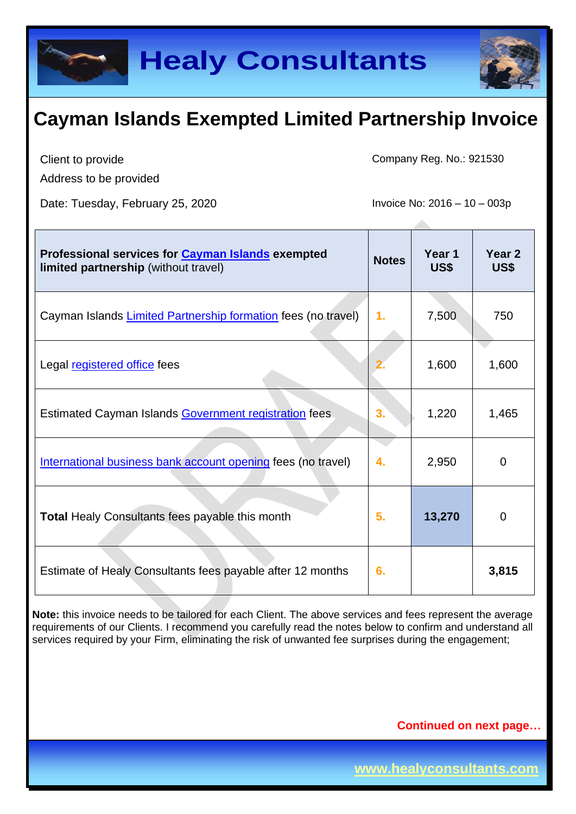

Client to provide

Address to be provided

Date: Tuesday, February 25, 2020 Invoice No: 2016 – 10 – 003p

Company Reg. No.: 921530

| Professional services for Cayman Islands exempted<br>limited partnership (without travel) | <b>Notes</b>  | Year 1<br>US\$ | Year <sub>2</sub><br>US\$ |
|-------------------------------------------------------------------------------------------|---------------|----------------|---------------------------|
| Cayman Islands Limited Partnership formation fees (no travel)                             | $\mathbf 1$ . | 7,500          | 750                       |
| Legal registered office fees                                                              |               | 1,600          | 1,600                     |
| Estimated Cayman Islands Government registration fees                                     | 3.            | 1,220          | 1,465                     |
| International business bank account opening fees (no travel)                              | 4.            | 2,950          | $\Omega$                  |
| <b>Total Healy Consultants fees payable this month</b>                                    | 5.            | 13,270         | $\Omega$                  |
| Estimate of Healy Consultants fees payable after 12 months                                | 6.            |                | 3,815                     |

**Note:** this invoice needs to be tailored for each Client. The above services and fees represent the average requirements of our Clients. I recommend you carefully read the notes below to confirm and understand all services required by your Firm, eliminating the risk of unwanted fee surprises during the engagement;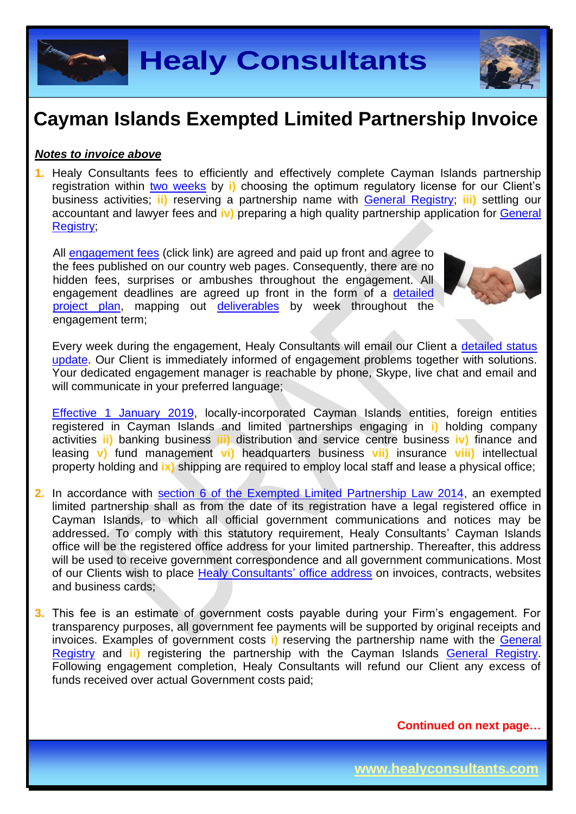**Healy Consultants**

## **Cayman Islands Exempted Limited Partnership Invoice**

#### *Notes to invoice above*

**1.** Healy Consultants fees to efficiently and effectively complete Cayman Islands partnership registration within two [weeks](http://www.healyconsultants.com/cayman-islands-company-registration/fees-timelines/#timelines) by **i)** choosing the optimum regulatory license for our Client's business activities; **ii)** reserving a partnership name with [General Registry;](http://www.ciregistry.gov.ky/portal/page/portal/reghome) **iii)** settling our accountant and lawyer fees and **iv)** preparing a high quality partnership application for [General](http://www.ciregistry.gov.ky/portal/page/portal/reghome)  [Registry;](http://www.ciregistry.gov.ky/portal/page/portal/reghome)

All [engagement fees](http://www.healyconsultants.com/company-registration-fees/) (click link) are agreed and paid up front and agree to the fees published on our country web pages. Consequently, there are no hidden fees, surprises or ambushes throughout the engagement. All engagement deadlines are agreed up front in the form of a [detailed](http://www.healyconsultants.com/index-important-links/example-project-plan/)  [project plan,](http://www.healyconsultants.com/index-important-links/example-project-plan/) mapping out [deliverables](http://www.healyconsultants.com/deliverables-to-our-clients/) by week throughout the engagement term;

Every week during the engagement. Healy Consultants will email our Client a detailed status [update.](http://www.healyconsultants.com/index-important-links/weekly-engagement-status-email/) Our Client is immediately informed of engagement problems together with solutions. Your dedicated engagement manager is reachable by phone, Skype, live chat and email and will communicate in your preferred language;

[Effective 1 January 2019,](http://www.gov.ky/portal/pls/portal/docs/1/12738510.PDF) locally-incorporated Cayman Islands entities, foreign entities registered in Cayman Islands and limited partnerships engaging in **i)** holding company activities **ii)** banking business **iii)** distribution and service centre business **iv)** finance and leasing **v)** fund management **vi)** headquarters business **vii)** insurance **viii)** intellectual property holding and **ix)** shipping are required to employ local staff and lease a physical office;

- **2.** In accordance with [section 6 of the Exempted Limited Partnership Law 2014,](http://www.gov.ky/portal/pls/portal/docs/1/11528847.PDF) an exempted limited partnership shall as from the date of its registration have a legal registered office in Cayman Islands, to which all official government communications and notices may be addressed. To comply with this statutory requirement, Healy Consultants' Cayman Islands office will be the registered office address for your limited partnership. Thereafter, this address will be used to receive government correspondence and all government communications. Most of our Clients wish to place [Healy Consultants'](http://www.healyconsultants.com/corporate-outsourcing-services/company-secretary-and-legal-registered-office/) office address on invoices, contracts, websites and business cards;
- **3.** This fee is an estimate of government costs payable during your Firm's engagement. For transparency purposes, all government fee payments will be supported by original receipts and invoices. Examples of government costs **i)** reserving the partnership name with the [General](http://www.ciregistry.gov.ky/portal/page/portal/reghome)  [Registry](http://www.ciregistry.gov.ky/portal/page/portal/reghome) and **ii)** registering the partnership with the Cayman Islands [General Registry.](http://www.ciregistry.gov.ky/portal/page/portal/reghome) Following engagement completion, Healy Consultants will refund our Client any excess of funds received over actual Government costs paid;

**Continued on next page…**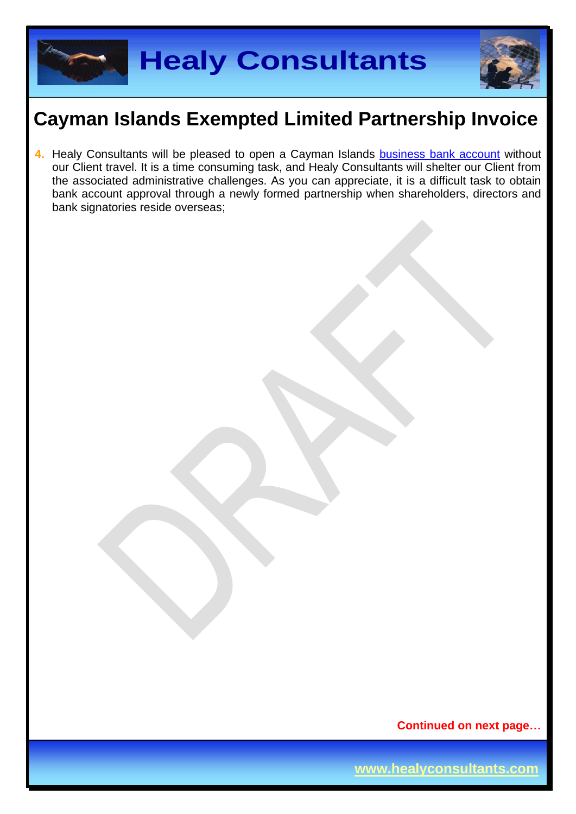

**4.** Healy Consultants will be pleased to open a Cayman Islands business [bank account](http://www.healyconsultants.com/country-comparisons/corporate-banking-options-without-travel/) without our Client travel. It is a time consuming task, and Healy Consultants will shelter our Client from the associated administrative challenges. As you can appreciate, it is a difficult task to obtain bank account approval through a newly formed partnership when shareholders, directors and bank signatories reside overseas;

**Continued on next page…**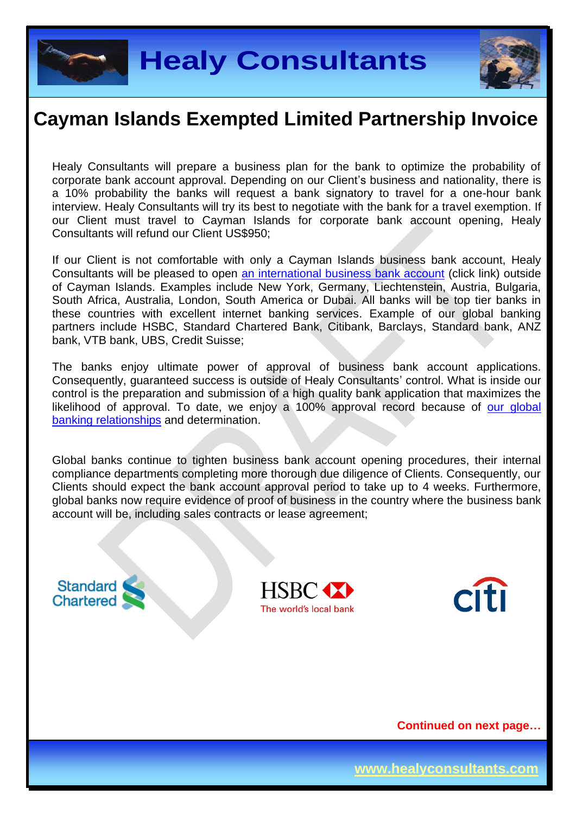



Healy Consultants will prepare a business plan for the bank to optimize the probability of corporate bank account approval. Depending on our Client's business and nationality, there is a 10% probability the banks will request a bank signatory to travel for a one-hour bank interview. Healy Consultants will try its best to negotiate with the bank for a travel exemption. If our Client must travel to Cayman Islands for corporate bank account opening, Healy Consultants will refund our Client US\$950;

If our Client is not comfortable with only a Cayman Islands business bank account, Healy Consultants will be pleased to open [an international business](http://www.healyconsultants.com/international-banking/) bank account (click link) outside of Cayman Islands. Examples include New York, Germany, Liechtenstein, Austria, Bulgaria, South Africa, Australia, London, South America or Dubai. All banks will be top tier banks in these countries with excellent internet banking services. Example of our global banking partners include HSBC, Standard Chartered Bank, Citibank, Barclays, Standard bank, ANZ bank, VTB bank, UBS, Credit Suisse;

The banks enjoy ultimate power of approval of business bank account applications. Consequently, guaranteed success is outside of Healy Consultants' control. What is inside our control is the preparation and submission of a high quality bank application that maximizes the likelihood of approval. To date, we enjoy a 100% approval record because of our global [banking relationships](http://www.healyconsultants.com/international-banking/corporate-accounts/) and determination.

Global banks continue to tighten business bank account opening procedures, their internal compliance departments completing more thorough due diligence of Clients. Consequently, our Clients should expect the bank account approval period to take up to 4 weeks. Furthermore, global banks now require evidence of proof of business in the country where the business bank account will be, including sales contracts or lease agreement;

**Standard** Chartered





**Continued on next page…**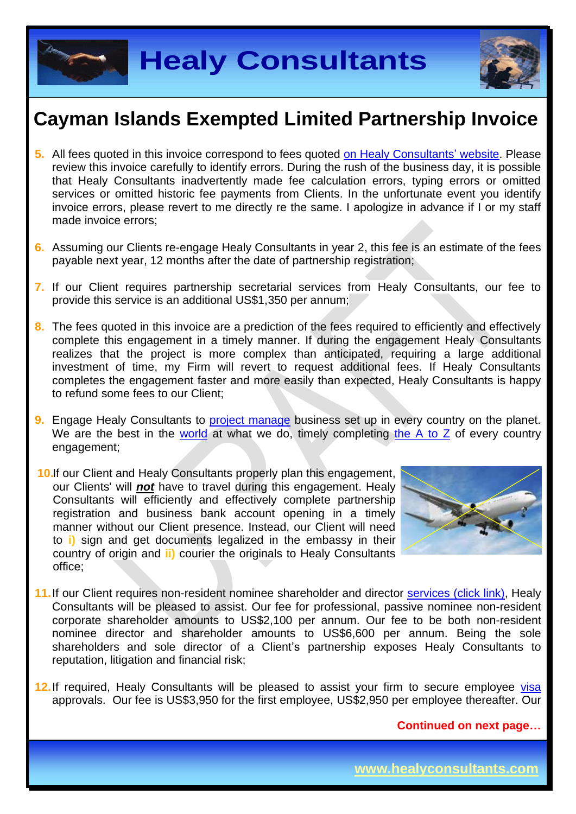



- **5.** All fees quoted in this invoice correspond to fees quoted [on Healy Consultants'](http://www.healyconsultants.com/company-registration-fees/) website. Please review this invoice carefully to identify errors. During the rush of the business day, it is possible that Healy Consultants inadvertently made fee calculation errors, typing errors or omitted services or omitted historic fee payments from Clients. In the unfortunate event you identify invoice errors, please revert to me directly re the same. I apologize in advance if I or my staff made invoice errors;
- **6.** Assuming our Clients re-engage Healy Consultants in year 2, this fee is an estimate of the fees payable next year, 12 months after the date of partnership registration;
- **7.** If our Client requires partnership secretarial services from Healy Consultants, our fee to provide this service is an additional US\$1,350 per annum;
- **8.** The fees quoted in this invoice are a prediction of the fees required to efficiently and effectively complete this engagement in a timely manner. If during the engagement Healy Consultants realizes that the project is more complex than anticipated, requiring a large additional investment of time, my Firm will revert to request additional fees. If Healy Consultants completes the engagement faster and more easily than expected, Healy Consultants is happy to refund some fees to our Client;
- **9.** Engage Healy Consultants to [project manage](http://www.healyconsultants.com/project-manage-engagements/) business set up in every country on the planet. We are the best in the [world](http://www.healyconsultants.com/best-in-the-world/) at what we do, timely completing the  $A$  to  $Z$  of every country engagement;
- **10.**If our Client and Healy Consultants properly plan this engagement, our Clients' will *not* have to travel during this engagement. Healy Consultants will efficiently and effectively complete partnership registration and business bank account opening in a timely manner without our Client presence. Instead, our Client will need to **i)** sign and get documents legalized in the embassy in their country of origin and **ii)** courier the originals to Healy Consultants office;



- 11. If our Client requires non-resident nominee shareholder and director services [\(click link\),](http://www.healyconsultants.com/corporate-outsourcing-services/nominee-shareholders-directors/) Healy Consultants will be pleased to assist. Our fee for professional, passive nominee non-resident corporate shareholder amounts to US\$2,100 per annum. Our fee to be both non-resident nominee director and shareholder amounts to US\$6,600 per annum. Being the sole shareholders and sole director of a Client's partnership exposes Healy Consultants to reputation, litigation and financial risk;
- **12.**If required, Healy Consultants will be pleased to assist your firm to secure employee [visa](http://www.healyconsultants.com/corporate-advisory-services/migration/) approvals. Our fee is US\$3,950 for the first employee, US\$2,950 per employee thereafter. Our

**Continued on next page…**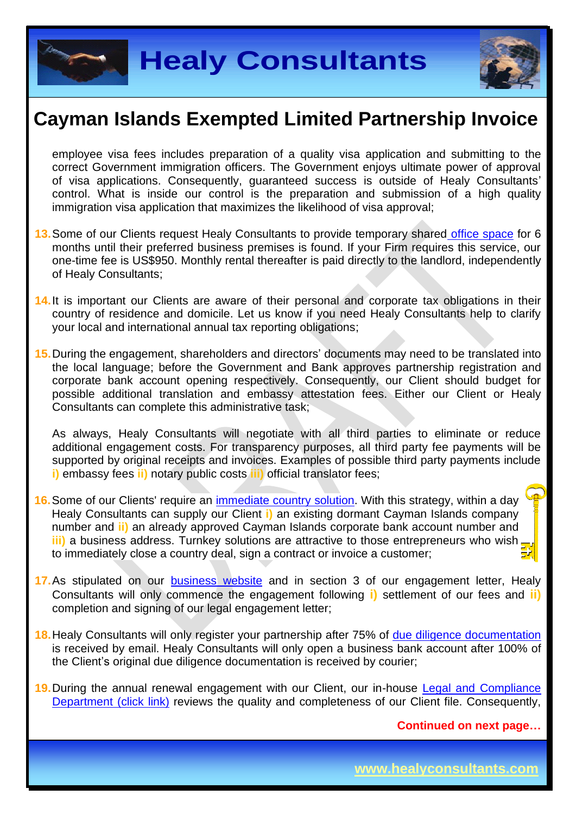



employee visa fees includes preparation of a quality visa application and submitting to the correct Government immigration officers. The Government enjoys ultimate power of approval of visa applications. Consequently, guaranteed success is outside of Healy Consultants' control. What is inside our control is the preparation and submission of a high quality immigration visa application that maximizes the likelihood of visa approval;

- **13.**Some of our Clients request Healy Consultants to provide temporary shared [office space](http://www.healyconsultants.com/virtual-office/) for 6 months until their preferred business premises is found. If your Firm requires this service, our one-time fee is US\$950. Monthly rental thereafter is paid directly to the landlord, independently of Healy Consultants;
- **14.**It is important our Clients are aware of their personal and corporate tax obligations in their country of residence and domicile. Let us know if you need Healy Consultants help to clarify your local and international annual tax reporting obligations;
- **15.**During the engagement, shareholders and directors' documents may need to be translated into the local language; before the Government and Bank approves partnership registration and corporate bank account opening respectively. Consequently, our Client should budget for possible additional translation and embassy attestation fees. Either our Client or Healy Consultants can complete this administrative task;

As always, Healy Consultants will negotiate with all third parties to eliminate or reduce additional engagement costs. For transparency purposes, all third party fee payments will be supported by original receipts and invoices. Examples of possible third party payments include **i)** embassy fees **ii)** notary public costs **iii)** official translator fees;

- **16.**Some of our Clients' require an [immediate country](http://www.healyconsultants.com/turnkey-solutions/) solution. With this strategy, within a day Healy Consultants can supply our Client **i)** an existing dormant Cayman Islands company number and **ii)** an already approved Cayman Islands corporate bank account number and **iii)** a business address. Turnkey solutions are attractive to those entrepreneurs who wish, to immediately close a country deal, sign a contract or invoice a customer;
- **17.**As stipulated on our [business website](http://www.healyconsultants.com/) and in section 3 of our engagement letter, Healy Consultants will only commence the engagement following **i)** settlement of our fees and **ii)** completion and signing of our legal engagement letter;
- **18.**Healy Consultants will only register your partnership after 75% of [due diligence documentation](http://www.healyconsultants.com/due-diligence/) is received by email. Healy Consultants will only open a business bank account after 100% of the Client's original due diligence documentation is received by courier;
- **19.**During the annual renewal engagement with our Client, our in-house [Legal and Compliance](http://www.healyconsultants.com/about-us/key-personnel/cai-xin-profile/)  [Department \(click link\)](http://www.healyconsultants.com/about-us/key-personnel/cai-xin-profile/) reviews the quality and completeness of our Client file. Consequently,

**Continued on next page…**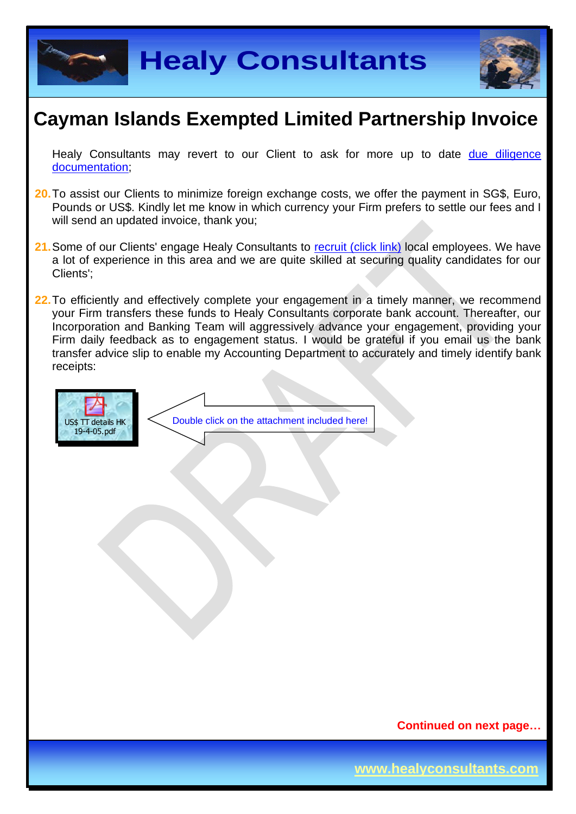



Healy Consultants may revert to our Client to ask for more up to date due diligence [documentation;](http://www.healyconsultants.com/due-diligence/)

- **20.**To assist our Clients to minimize foreign exchange costs, we offer the payment in SG\$, Euro, Pounds or US\$. Kindly let me know in which currency your Firm prefers to settle our fees and I will send an updated invoice, thank you;
- 21. Some of our Clients' engage Healy Consultants to [recruit \(click link\)](http://www.healyconsultants.com/corporate-outsourcing-services/how-we-help-our-clients-recruit-quality-employees/) local employees. We have a lot of experience in this area and we are quite skilled at securing quality candidates for our Clients';
- **22.**To efficiently and effectively complete your engagement in a timely manner, we recommend your Firm transfers these funds to Healy Consultants corporate bank account. Thereafter, our Incorporation and Banking Team will aggressively advance your engagement, providing your Firm daily feedback as to engagement status. I would be grateful if you email us the bank transfer advice slip to enable my Accounting Department to accurately and timely identify bank receipts:



**Continued on next page…**